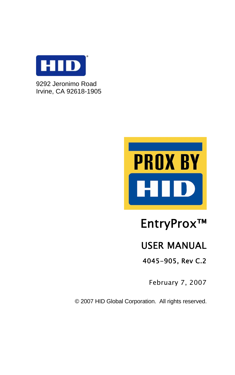

9292 Jeronimo Road Irvine, CA 92618-1905



# EntryProx™

# USER MANUAL

4045-905, Rev C.2

February 7, 2007

© 2007 HID Global Corporation. All rights reserved.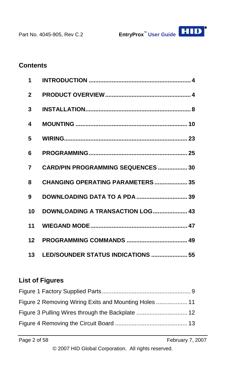

#### **Contents**

| $1 \quad$               |                                           |
|-------------------------|-------------------------------------------|
| $\overline{\mathbf{z}}$ |                                           |
| 3                       |                                           |
| 4                       |                                           |
| 5                       |                                           |
| 6                       |                                           |
| $\overline{7}$          | <b>CARD/PIN PROGRAMMING SEQUENCES  30</b> |
| 8                       | <b>CHANGING OPERATING PARAMETERS  35</b>  |
| 9                       |                                           |
| 10                      | DOWNLOADING A TRANSACTION LOG 43          |
|                         |                                           |
|                         |                                           |
|                         | 13 LED/SOUNDER STATUS INDICATIONS  55     |

#### **List of Figures**

| Figure 2 Removing Wiring Exits and Mounting Holes  11 |  |
|-------------------------------------------------------|--|
|                                                       |  |
|                                                       |  |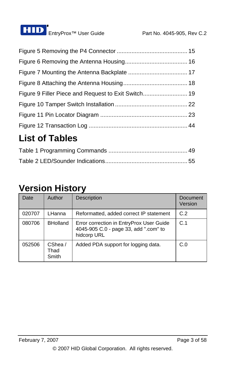

# **List of Tables**

# **Version History**

| Date   | Author                   | <b>Description</b>                                                                               | <b>Document</b><br>Version |
|--------|--------------------------|--------------------------------------------------------------------------------------------------|----------------------------|
| 020707 | LHanna                   | Reformatted, added correct IP statement                                                          | C.2                        |
| 080706 | <b>BHolland</b>          | Error correction in EntryProx User Guide<br>4045-905 C.0 - page 33, add ".com" to<br>hidcorp URL | C.1                        |
| 052506 | CShea /<br>Thad<br>Smith | Added PDA support for logging data.                                                              | C.0                        |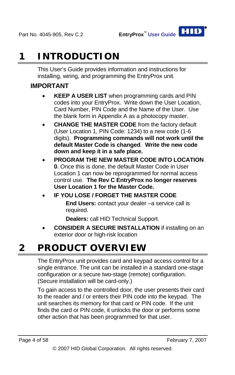

# **1 INTRODUCTION**

This User's Guide provides information and instructions for installing, wiring, and programming the EntryProx unit.

#### **IMPORTANT**

- **KEEP A USER LIST** when programming cards and PIN codes into your EntryProx. Write down the User Location, Card Number, PIN Code and the Name of the User. Use the blank form in Appendix A as a photocopy master.
- **CHANGE THE MASTER CODE** from the factory default (User Location 1, PIN Code: 1234) to a new code (1-6 digits). **Programming commands will not work until the default Master Code is changed**. **Write the new code down and keep it in a safe place.**
- **PROGRAM THE NEW MASTER CODE INTO LOCATION 0 .** Once this is done, the default Master Code in User • Location 1 can now be reprogrammed for normal access control use. **The Rev C EntryProx no longer reserves User Location 1 for the Master Code.**

#### **IF YOU LOSE / FORGET THE MASTER CODE End Users:** contact your dealer –a service call is required.

**Dealers:** call HID Technical Support.

**CONSIDER A SECURE INSTALLATION** if installing on an exterior door or high-risk location •

# **2 PRODUCT OVERVIEW**

The EntryProx unit provides card and keypad access control for a single entrance. The unit can be installed in a standard one-stage configuration or a secure two-stage (remote) configuration. (Secure installation will be card-only.)

To gain access to the controlled door, the user presents their card to the reader and / or enters their PIN code into the keypad. The unit searches its memory for that card or PIN code. If the unit finds the card or PIN code, it unlocks the door or performs some other action that has been programmed for that user.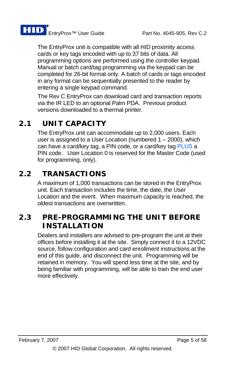

The EntryProx unit is compatible with all HID proximity access cards or key tags encoded with up to 37 bits of data. All programming options are performed using the controller keypad. Manual or batch card/tag programming via the keypad can be completed for 26-bit format only. A batch of cards or tags encoded in any format can be sequentially presented to the reader by entering a single keypad command.

The Rev C EntryProx can download card and transaction reports via the IR LED to an optional Palm PDA. Previous product versions downloaded to a thermal printer.

# **2.1 UNIT CAPACITY**

The EntryProx unit can accommodate up to 2,000 users. Each user is assigned to a User Location (numbered 1 – 2000), which can have a card/key tag, a PIN code, or a card/key tag PLUS a PIN code. User Location 0 is reserved for the Master Code (used for programming, only).

# **2.2 TRANSACTIONS**

A maximum of 1,000 transactions can be stored in the EntryProx unit. Each transaction includes the time, the date, the User Location and the event. When maximum capacity is reached, the oldest transactions are overwritten.

# **2.3 PRE-PROGRAMMING THE UNIT BEFORE INSTALLATION**

Dealers and installers are advised to pre-program the unit at their offices before installing it at the site. Simply connect it to a 12VDC source, follow configuration and card enrollment instructions at the end of this guide, and disconnect the unit. Programming will be retained in memory. You will spend less time at the site, and by being familiar with programming, will be able to train the end user more effectively.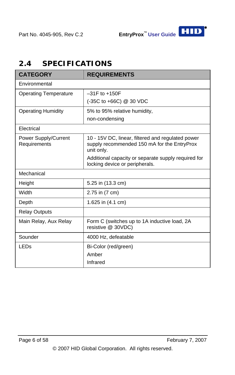# **2.4 SPECIFICATIONS**

| <b>CATEGORY</b>                      | <b>REQUIREMENTS</b>                                                                                            |  |  |
|--------------------------------------|----------------------------------------------------------------------------------------------------------------|--|--|
| Environmental                        |                                                                                                                |  |  |
| <b>Operating Temperature</b>         | $-31F$ to $+150F$                                                                                              |  |  |
|                                      | (-35C to +66C) @ 30 VDC                                                                                        |  |  |
| <b>Operating Humidity</b>            | 5% to 95% relative humidity,                                                                                   |  |  |
|                                      | non-condensing                                                                                                 |  |  |
| Flectrical                           |                                                                                                                |  |  |
| Power Supply/Current<br>Requirements | 10 - 15V DC, linear, filtered and regulated power<br>supply recommended 150 mA for the EntryProx<br>unit only. |  |  |
|                                      | Additional capacity or separate supply required for<br>locking device or peripherals.                          |  |  |
| Mechanical                           |                                                                                                                |  |  |
| Height                               | 5.25 in (13.3 cm)                                                                                              |  |  |
| Width                                | 2.75 in (7 cm)                                                                                                 |  |  |
| Depth                                | 1.625 in (4.1 cm)                                                                                              |  |  |
| <b>Relay Outputs</b>                 |                                                                                                                |  |  |
| Main Relay, Aux Relay                | Form C (switches up to 1A inductive load, 2A<br>resistive @ 30VDC)                                             |  |  |
| Sounder                              | 4000 Hz, defeatable                                                                                            |  |  |
| LED <sub>s</sub>                     | Bi-Color (red/green)                                                                                           |  |  |
|                                      | Amber                                                                                                          |  |  |
|                                      | Infrared                                                                                                       |  |  |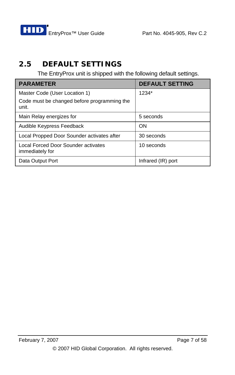

# **2.5 DEFAULT SETTINGS**

The EntryProx unit is shipped with the following default settings.

| <b>PARAMETER</b>                                       | <b>DEFAULT SETTING</b> |
|--------------------------------------------------------|------------------------|
| Master Code (User Location 1)                          | 1234*                  |
| Code must be changed before programming the<br>unit.   |                        |
| Main Relay energizes for                               | 5 seconds              |
| Audible Keypress Feedback                              | ON                     |
| Local Propped Door Sounder activates after             | 30 seconds             |
| Local Forced Door Sounder activates<br>immediately for | 10 seconds             |
| Data Output Port                                       | Infrared (IR) port     |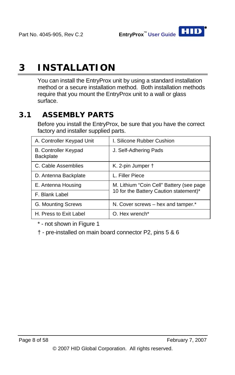

# **3 INSTALLATION**

You can install the EntryProx unit by using a standard installation method or a secure installation method. Both installation methods require that you mount the EntryProx unit to a wall or glass surface.

# **3.1 ASSEMBLY PARTS**

Before you install the EntryProx, be sure that you have the correct factory and installer supplied parts.

| A. Controller Keypad Unit                | I. Silicone Rubber Cushion               |  |
|------------------------------------------|------------------------------------------|--|
| <b>B. Controller Keypad</b><br>Backplate | J. Self-Adhering Pads                    |  |
| C. Cable Assemblies                      | K. 2-pin Jumper +                        |  |
| D. Antenna Backplate                     | L. Filler Piece                          |  |
| E. Antenna Housing                       | M. Lithium "Coin Cell" Battery (see page |  |
| F. Blank Label                           | 10 for the Battery Caution statement)*   |  |
| G. Mounting Screws                       | N. Cover screws - hex and tamper.*       |  |
| H. Press to Exit Label                   | O. Hex wrench*                           |  |

\* - not shown in [Figure 1](#page-8-0)

† - pre-installed on main board connector P2, pins 5 & 6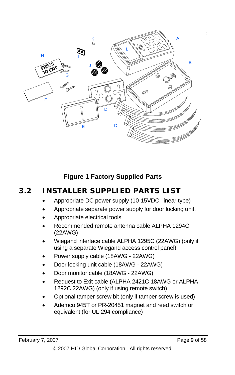

## **Figure 1 Factory Supplied Parts**

# <span id="page-8-0"></span>**3.2 INSTALLER SUPPLIED PARTS LIST**

- Appropriate DC power supply (10-15VDC, linear type)
- Appropriate separate power supply for door locking unit.
- Appropriate electrical tools
- Recommended remote antenna cable ALPHA 1294C (22AWG)
- Wiegand interface cable ALPHA 1295C (22AWG) (only if using a separate Wiegand access control panel)
- Power supply cable (18AWG 22AWG)
- Door locking unit cable (18AWG 22AWG)
- Door monitor cable (18AWG 22AWG)
- Request to Exit cable (ALPHA 2421C 18AWG or ALPHA 1292C 22AWG) (only if using remote switch)
- Optional tamper screw bit (only if tamper screw is used)
- Ademco 945T or PR-20451 magnet and reed switch or equivalent (for UL 294 compliance)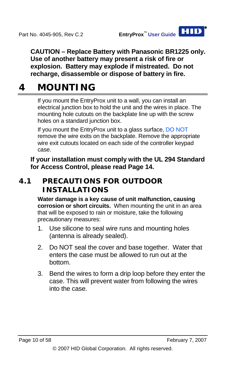**CAUTION – Replace Battery with Panasonic BR1225 only. Use of another battery may present a risk of fire or explosion. Battery may explode if mistreated. Do not recharge, disassemble or dispose of battery in fire.** 

# <span id="page-9-0"></span>**4 MOUNTING**

If you mount the EntryProx unit to a wall, you can install an electrical junction box to hold the unit and the wires in place. The mounting hole cutouts on the backplate line up with the screw holes on a standard junction box.

If you mount the EntryProx unit to a glass surface, DO NOT remove the wire exits on the backplate. Remove the appropriate wire exit cutouts located on each side of the controller keypad case.

**If your installation must comply with the UL 294 Standard for Access Control, please read Page 14.** 

# **4.1 PRECAUTIONS FOR OUTDOOR INSTALLATIONS**

**Water damage is a key cause of unit malfunction, causing corrosion or short circuits.** When mounting the unit in an area that will be exposed to rain or moisture, take the following precautionary measures:

- 1. Use silicone to seal wire runs and mounting holes (antenna is already sealed).
- 2. Do NOT seal the cover and base together. Water that enters the case must be allowed to run out at the bottom.
- 3. Bend the wires to form a drip loop before they enter the case. This will prevent water from following the wires into the case.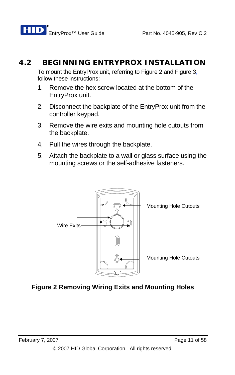# **4.2 BEGINNING ENTRYPROX INSTALLATION**

To mount the EntryProx unit, referring to [Figure 2](#page-10-0) and [Figure 3](#page-11-0), follow these instructions:

- 1. Remove the hex screw located at the bottom of the EntryProx unit.
- 2. Disconnect the backplate of the EntryProx unit from the controller keypad.
- 3. Remove the wire exits and mounting hole cutouts from the backplate.
- 4, Pull the wires through the backplate.
- 5. Attach the backplate to a wall or glass surface using the mounting screws or the self-adhesive fasteners.



## <span id="page-10-0"></span>**Figure 2 Removing Wiring Exits and Mounting Holes**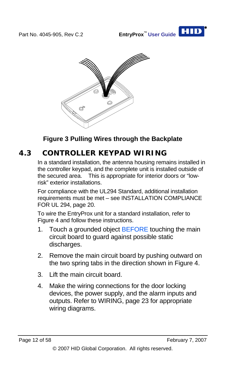



**Figure 3 Pulling Wires through the Backplate** 

# <span id="page-11-0"></span>**4.3 CONTROLLER KEYPAD WIRING**

In a standard installation, the antenna housing remains installed in the controller keypad, and the complete unit is installed outside of the secured area. This is appropriate for interior doors or "lowrisk" exterior installations.

For compliance with the UL294 Standard, additional installation requirements must be met – see [INSTALLATION COMPLIANCE](#page-19-0)  [FOR UL 294](#page-19-0), page [20.](#page-19-0)

To wire the EntryProx unit for a standard installation, refer to [Figure 4](#page-12-0) and follow these instructions.

- 1. Touch a grounded object BEFORE touching the main circuit board to guard against possible static discharges.
- 2. Remove the main circuit board by pushing outward on the two spring tabs in the direction shown in [Figure 4.](#page-12-0)
- 3. Lift the main circuit board.
- 4. Make the wiring connections for the door locking devices, the power supply, and the alarm inputs and outputs. Refer to [WIRING](#page-22-0), page [23](#page-22-0) for appropriate wiring diagrams.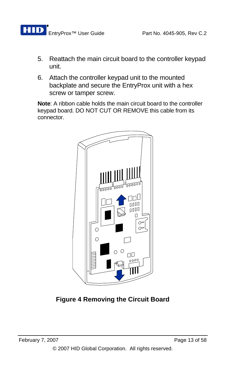- 5. Reattach the main circuit board to the controller keypad unit.
- 6. Attach the controller keypad unit to the mounted backplate and secure the EntryProx unit with a hex screw or tamper screw.

**Note**: A ribbon cable holds the main circuit board to the controller keypad board. DO NOT CUT OR REMOVE this cable from its connector.

<span id="page-12-0"></span>

**Figure 4 Removing the Circuit Board**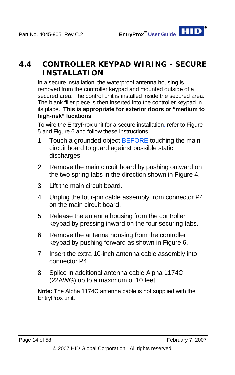# **4.4 CONTROLLER KEYPAD WIRING - SECURE INSTALLATION**

In a secure installation, the waterproof antenna housing is removed from the controller keypad and mounted outside of a secured area. The control unit is installed inside the secured area. The blank filler piece is then inserted into the controller keypad in its place. **This is appropriate for exterior doors or "medium to high-risk" locations**.

To wire the EntryProx unit for a secure installation, refer to [Figure](#page-14-0)  [5](#page-14-0) and [Figure 6](#page-15-0) and follow these instructions.

- 1. Touch a grounded object BEFORE touching the main circuit board to guard against possible static discharges.
- 2. Remove the main circuit board by pushing outward on the two spring tabs in the direction shown in [Figure 4.](#page-12-0)
- 3. Lift the main circuit board.
- 4. Unplug the four-pin cable assembly from connector P4 on the main circuit board.
- 5. Release the antenna housing from the controller keypad by pressing inward on the four securing tabs.
- 6. Remove the antenna housing from the controller keypad by pushing forward as shown in [Figure 6](#page-15-0).
- 7. Insert the extra 10-inch antenna cable assembly into connector P4.
- 8. Splice in additional antenna cable Alpha 1174C (22AWG) up to a maximum of 10 feet.

**Note:** The Alpha 1174C antenna cable is not supplied with the EntryProx unit.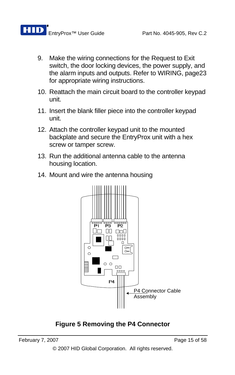

- 9. Make the wiring connections for the Request to Exit switch, the door locking devices, the power supply, and the alarm inputs and outputs. Refer to [WIRING](#page-22-0), page[23](#page-22-0) for appropriate wiring instructions.
- 10. Reattach the main circuit board to the controller keypad unit.
- 11. Insert the blank filler piece into the controller keypad unit.
- 12. Attach the controller keypad unit to the mounted backplate and secure the EntryProx unit with a hex screw or tamper screw.
- 13. Run the additional antenna cable to the antenna housing location.
- 14. Mount and wire the antenna housing



#### <span id="page-14-0"></span>**Figure 5 Removing the P4 Connector**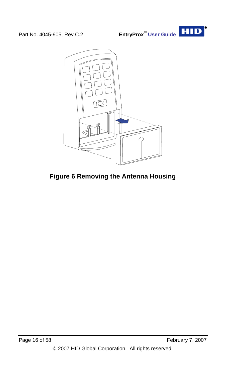



## <span id="page-15-0"></span>**Figure 6 Removing the Antenna Housing**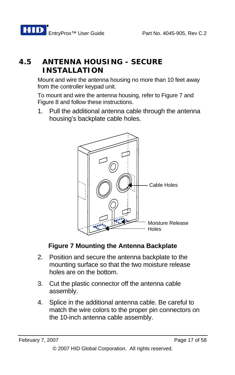# **4.5 ANTENNA HOUSING - SECURE INSTALLATION**

Mount and wire the antenna housing no more than 10 feet away from the controller keypad unit.

To mount and wire the antenna housing, refer to [Figure 7](#page-16-0) and [Figure 8](#page-17-0) and follow these instructions.

1. Pull the additional antenna cable through the antenna housing's backplate cable holes.



# **Figure 7 Mounting the Antenna Backplate**

- <span id="page-16-0"></span>2. Position and secure the antenna backplate to the mounting surface so that the two moisture release holes are on the bottom.
- 3. Cut the plastic connector off the antenna cable assembly.
- 4. Splice in the additional antenna cable. Be careful to match the wire colors to the proper pin connectors on the 10-inch antenna cable assembly.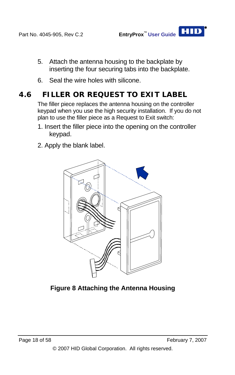- 5. Attach the antenna housing to the backplate by inserting the four securing tabs into the backplate.
- 6. Seal the wire holes with silicone.

# **4.6 FILLER OR REQUEST TO EXIT LABEL**

The filler piece replaces the antenna housing on the controller keypad when you use the high security installation. If you do not plan to use the filler piece as a Request to Exit switch:

- 1. Insert the filler piece into the opening on the controller keypad.
- 2. Apply the blank label.

<span id="page-17-0"></span>

**Figure 8 Attaching the Antenna Housing**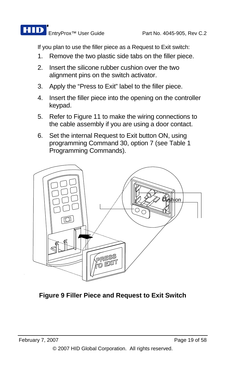

If you plan to use the filler piece as a Request to Exit switch:

- 1. Remove the two plastic side tabs on the filler piece.
- 2. Insert the silicone rubber cushion over the two alignment pins on the switch activator.
- 3. Apply the "Press to Exit" label to the filler piece.
- 4. Insert the filler piece into the opening on the controller keypad.
- 5. Refer to [Figure 11](#page-22-1) to make the wiring connections to the cable assembly if you are using a door contact.
- 6. Set the internal Request to Exit button ON, using programming Command 30, option 7 (see [Table 1](#page-48-0)  [Programming Commands](#page-48-0)).



**Figure 9 Filler Piece and Request to Exit Switch**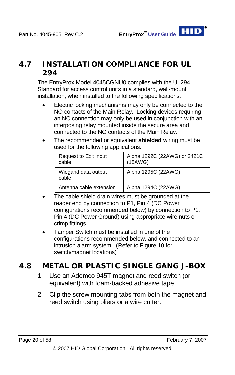## <span id="page-19-0"></span>**4.7 INSTALLATION COMPLIANCE FOR UL 294**

The EntryProx Model 4045CGNU0 complies with the UL294 Standard for access control units in a standard, wall-mount installation, when installed to the following specifications:

- Electric locking mechanisms may only be connected to the NO contacts of the Main Relay. Locking devices requiring an NC connection may only be used in conjunction with an interposing relay mounted inside the secure area and connected to the NO contacts of the Main Relay.
- The recommended or equivalent **shielded** wiring must be used for the following applications:

| Request to Exit input<br>cable | Alpha 1292C (22AWG) or 2421C<br>(18AWG) |
|--------------------------------|-----------------------------------------|
| Wiegand data output<br>cable   | Alpha 1295C (22AWG)                     |
| Antenna cable extension        | Alpha 1294C (22AWG)                     |

- The cable shield drain wires must be grounded at the reader end by connection to P1, Pin 4 (DC Power configurations recommended below) by connection to P1, Pin 4 (DC Power Ground) using appropriate wire nuts or crimp fittings.
- Tamper Switch must be installed in one of the configurations recommended below, and connected to an intrusion alarm system. (Refer to [Figure 10](#page-21-0) for switch/magnet locations)

# **4.8 METAL OR PLASTIC SINGLE GANG J-BOX**

- 1. Use an Ademco 945T magnet and reed switch (or equivalent) with foam-backed adhesive tape.
- 2. Clip the screw mounting tabs from both the magnet and reed switch using pliers or a wire cutter.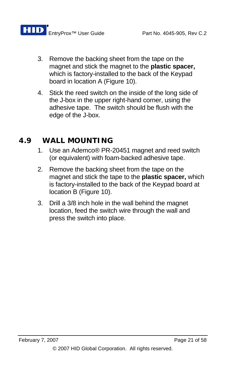- 3. Remove the backing sheet from the tape on the magnet and stick the magnet to the **plastic spacer,**  which is factory-installed to the back of the Keypad board in location A [\(Figure 10\)](#page-21-0).
- 4. Stick the reed switch on the inside of the long side of the J-box in the upper right-hand corner, using the adhesive tape. The switch should be flush with the edge of the J-box.

#### **4.9 WALL MOUNTING**

- 1. Use an Ademco® PR-20451 magnet and reed switch (or equivalent) with foam-backed adhesive tape.
- 2. Remove the backing sheet from the tape on the magnet and stick the tape to the **plastic spacer,** which is factory-installed to the back of the Keypad board at location B [\(Figure 10\)](#page-21-0).
- 3. Drill a 3/8 inch hole in the wall behind the magnet location, feed the switch wire through the wall and press the switch into place.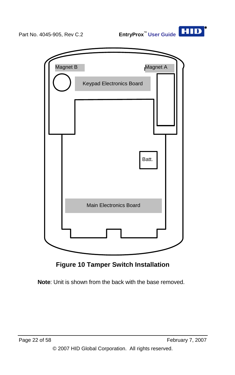

**Figure 10 Tamper Switch Installation** 

<span id="page-21-0"></span>**Note**: Unit is shown from the back with the base removed.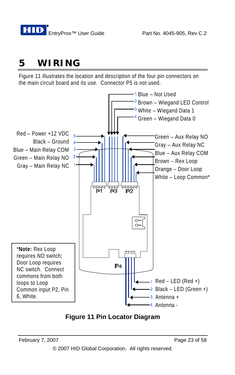# <span id="page-22-0"></span>**5 WIRING**

[Figure 11](#page-22-1) illustrates the location and description of the four pin connectors on the main circuit board and its use. Connector P5 is not used.



<span id="page-22-1"></span>**Figure 11 Pin Locator Diagram**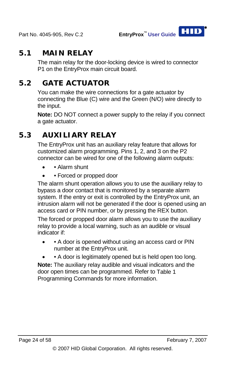

## **5.1 MAIN RELAY**

The main relay for the door-locking device is wired to connector P1 on the EntryProx main circuit board.

# **5.2 GATE ACTUATOR**

You can make the wire connections for a gate actuator by connecting the Blue (C) wire and the Green (N/O) wire directly to the input.

**Note:** DO NOT connect a power supply to the relay if you connect a gate actuator.

# **5.3 AUXILIARY RELAY**

The EntryProx unit has an auxiliary relay feature that allows for customized alarm programming. Pins 1, 2, and 3 on the P2 connector can be wired for one of the following alarm outputs:

- Alarm shunt
- Forced or propped door

The alarm shunt operation allows you to use the auxiliary relay to bypass a door contact that is monitored by a separate alarm system. If the entry or exit is controlled by the EntryProx unit, an intrusion alarm will not be generated if the door is opened using an access card or PIN number, or by pressing the REX button.

The forced or propped door alarm allows you to use the auxiliary relay to provide a local warning, such as an audible or visual indicator if:

- • A door is opened without using an access card or PIN number at the EntryProx unit.
- A door is legitimately opened but is held open too long.

**Note:** The auxiliary relay audible and visual indicators and the door open times can be programmed. Refer to [Table 1](#page-48-0)  [Programming Commands](#page-48-0) for more information.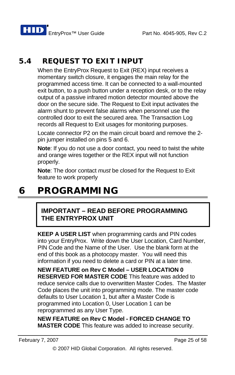**HID** EntryProx™ User Guide Part No. 4045-905, Rev C.2

# **5.4 REQUEST TO EXIT INPUT**

When the EntryProx Request to Exit (REX) input receives a momentary switch closure, it engages the main relay for the programmed access time. It can be connected to a wall-mounted exit button, to a push button under a reception desk, or to the relay output of a passive infrared motion detector mounted above the door on the secure side. The Request to Exit input activates the alarm shunt to prevent false alarms when personnel use the controlled door to exit the secured area. The Transaction Log records all Request to Exit usages for monitoring purposes.

Locate connector P2 on the main circuit board and remove the 2 pin jumper installed on pins 5 and 6.

**Note**: If you do not use a door contact, you need to twist the white and orange wires together or the REX input will not function properly.

**Note**: The door contact *must* be closed for the Request to Exit feature to work properly

# **6 PROGRAMMING**

#### **IMPORTANT – READ BEFORE PROGRAMMING THE ENTRYPROX UNIT**

**KEEP A USER LIST** when programming cards and PIN codes into your EntryProx. Write down the User Location, Card Number, PIN Code and the Name of the User. Use the blank form at the end of this book as a photocopy master. You will need this information if you need to delete a card or PIN at a later time.

**NEW FEATURE on Rev C Model – USER LOCATION 0 RESERVED FOR MASTER CODE** This feature was added to reduce service calls due to overwritten Master Codes. The Master Code places the unit into programming mode. The master code defaults to User Location 1, but after a Master Code is programmed into Location 0, User Location 1 can be reprogrammed as any User Type.

**NEW FEATURE on Rev C Model - FORCED CHANGE TO MASTER CODE** This feature was added to increase security.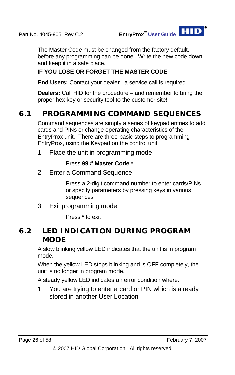The Master Code must be changed from the factory default, before any programming can be done. Write the new code down and keep it in a safe place.

#### **IF YOU LOSE OR FORGET THE MASTER CODE**

**End Users:** Contact your dealer –a service call is required.

**Dealers:** Call HID for the procedure – and remember to bring the proper hex key or security tool to the customer site!

# **6.1 PROGRAMMING COMMAND SEQUENCES**

Command sequences are simply a series of keypad entries to add cards and PINs or change operating characteristics of the EntryProx unit. There are three basic steps to programming EntryProx, using the Keypad on the control unit:

1. Place the unit in programming mode

#### Press **99 # Master Code \***

2. Enter a Command Sequence

Press a 2-digit command number to enter cards/PINs or specify parameters by pressing keys in various sequences

3. Exit programming mode

Press **\*** to exit

## **6.2 LED INDICATION DURING PROGRAM MODE**

A slow blinking yellow LED indicates that the unit is in program mode.

When the yellow LED stops blinking and is OFF completely, the unit is no longer in program mode.

A steady yellow LED indicates an error condition where:

1. You are trying to enter a card or PIN which is already stored in another User Location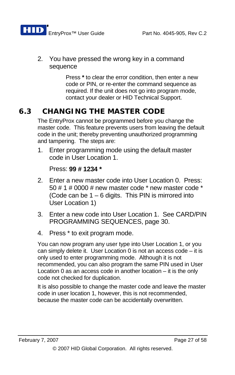

2. You have pressed the wrong key in a command sequence

> Press **\*** to clear the error condition, then enter a new code or PIN, or re-enter the command sequence as required. If the unit does not go into program mode, contact your dealer or HID Technical Support.

# **6.3 CHANGING THE MASTER CODE**

The EntryProx cannot be programmed before you change the master code. This feature prevents users from leaving the default code in the unit; thereby preventing unauthorized programming and tampering. The steps are:

1. Enter programming mode using the default master code in User Location 1.

```
Press: 99 # 1234 *
```
- 2. Enter a new master code into User Location 0. Press: 50 # 1 # 0000 # new master code \* new master code \* (Code can be  $1 - 6$  digits. This PIN is mirrored into User Location 1)
- 3. Enter a new code into User Location 1. See [CARD/PIN](#page-29-0)  [PROGRAMMING SEQUENCES,](#page-29-0) page [30.](#page-29-0)
- 4. Press \* to exit program mode.

You can now program any user type into User Location 1, or you can simply delete it. User Location 0 is not an access code – it is only used to enter programming mode. Although it is not recommended, you can also program the same PIN used in User Location 0 as an access code in another location – it is the only code not checked for duplication.

It is also possible to change the master code and leave the master code in user location 1, however, this is not recommended, because the master code can be accidentally overwritten.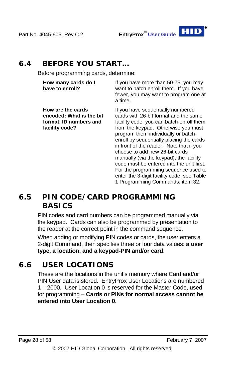

## **6.4 BEFORE YOU START…**

Before programming cards, determine:

**How many cards do I have to enroll?**

**How are the cards encoded: What is the bit format, ID numbers and** 

**facility code?**

If you have more than 50-75, you may want to batch enroll them. If you have fewer, you may want to program one at a time.

If you have sequentially numbered cards with 26-bit format and the same facility code, you can batch-enroll them from the keypad. Otherwise you must program them individually or batchenroll by sequentially placing the cards in front of the reader. Note that if you choose to add new 26-bit cards manually (via the keypad), the facility code must be entered into the unit first. For the programming sequence used to enter the 3-digit facility code, see [Table](#page-48-0)  [1 Programming Commands](#page-48-0), item 32.

# **6.5 PIN CODE/CARD PROGRAMMING BASICS**

PIN codes and card numbers can be programmed manually via the keypad. Cards can also be programmed by presentation to the reader at the correct point in the command sequence.

When adding or modifying PIN codes or cards, the user enters a 2-digit Command, then specifies three or four data values: **a user type, a location, and a keypad-PIN and/or card**.

# **6.6 USER LOCATIONS**

These are the locations in the unit's memory where Card and/or PIN User data is stored. EntryProx User Locations are numbered 1 – 2000. User Location 0 is reserved for the Master Code, used for programming – **Cards or PINs for normal access cannot be entered into User Location 0.**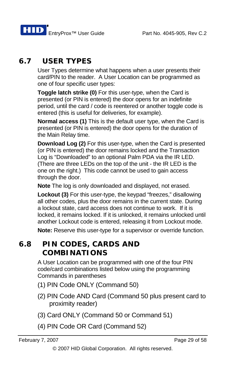# **6.7 USER TYPES**

User Types determine what happens when a user presents their card/PIN to the reader. A User Location can be programmed as one of four specific user types:

**Toggle latch strike (0)** For this user-type, when the Card is presented (or PIN is entered) the door opens for an indefinite period, until the card / code is reentered or another toggle code is entered (this is useful for deliveries, for example).

**Normal access (1)** This is the default user type, when the Card is presented (or PIN is entered) the door opens for the duration of the Main Relay time.

**Download Log (2)** For this user-type, when the Card is presented (or PIN is entered) the door remains locked and the Transaction Log is "Downloaded" to an optional Palm PDA via the IR LED. (There are three LEDs on the top of the unit - the IR LED is the one on the right.) This code cannot be used to gain access through the door.

**Note** The log is only downloaded and displayed, not erased.

**Lockout (3)** For this user-type, the keypad "freezes," disallowing all other codes, plus the door remains in the current state. During a lockout state, card access does not continue to work. If it is locked, it remains locked. If it is unlocked, it remains unlocked until another Lockout code is entered, releasing it from Lockout mode.

**Note:** Reserve this user-type for a supervisor or override function.

## **6.8 PIN CODES, CARDS AND COMBINATIONS**

A User Location can be programmed with one of the four PIN code/card combinations listed below using the programming Commands in parentheses

- (1) PIN Code ONLY (Command 50)
- (2) PIN Code AND Card (Command 50 plus present card to proximity reader)
- (3) Card ONLY (Command 50 or Command 51)
- (4) PIN Code OR Card (Command 52)

<sup>© 2007</sup> HID Global Corporation. All rights reserved.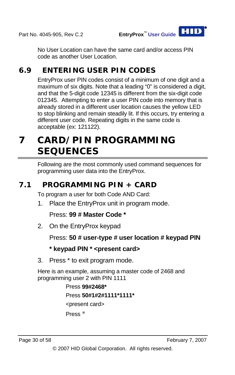No User Location can have the same card and/or access PIN code as another User Location.

# **6.9 ENTERING USER PIN CODES**

EntryProx user PIN codes consist of a minimum of one digit and a maximum of six digits. Note that a leading "0" is considered a digit, and that the 5-digit code 12345 is different from the six-digit code 012345. Attempting to enter a user PIN code into memory that is already stored in a different user location causes the yellow LED to stop blinking and remain steadily lit. If this occurs, try entering a different user code. Repeating digits in the same code is acceptable (ex: 121122).

# <span id="page-29-0"></span>**7 CARD/PIN PROGRAMMING SEQUENCES**

Following are the most commonly used command sequences for programming user data into the EntryProx.

# **7.1 PROGRAMMING PIN + CARD**

To program a user for both Code AND Card:

1. Place the EntryProx unit in program mode.

Press: **99 # Master Code \*** 

2. On the EntryProx keypad

Press: **50 # user-type # user location # keypad PIN**

#### **\* keypad PIN \* <present card>**

3. Press \* to exit program mode.

Here is an example, assuming a master code of 2468 and programming user 2 with PIN 1111

# Press **99#2468\*** Press **50#1#2#1111\*1111\*** <present card> Press \*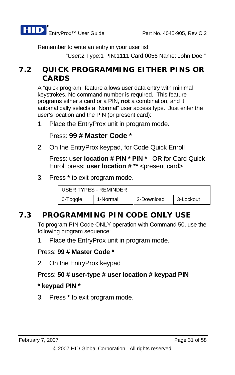Remember to write an entry in your user list:

"User:2 Type:1 PIN:1111 Card:0056 Name: John Doe "

## **7.2 QUICK PROGRAMMING EITHER PINS OR CARDS**

A "quick program" feature allows user data entry with minimal keystrokes. No command number is required. This feature programs either a card or a PIN, **not** a combination, and it automatically selects a "Normal" user access type. Just enter the user's location and the PIN (or present card):

1. Place the EntryProx unit in program mode.

Press: **99 # Master Code \*** 

2. On the EntryProx keypad, for Code Quick Enroll

Press: u**ser location # PIN \* PIN \*** OR for Card Quick Enroll press: **user location # \*\*** <present card>

3. Press **\*** to exit program mode.

| USER TYPES - REMINDER |          |            |           |
|-----------------------|----------|------------|-----------|
| 0-Toggle              | 1-Normal | 2-Download | 3-Lockout |

## **7.3 PROGRAMMING PIN CODE ONLY USE**

To program PIN Code ONLY operation with Command 50, use the following program sequence:

1. Place the EntryProx unit in program mode.

#### Press: **99 # Master Code \***

2. On the EntryProx keypad

#### Press: **50 # user-type # user location # keypad PIN**

#### **\* keypad PIN \***

3. Press **\*** to exit program mode.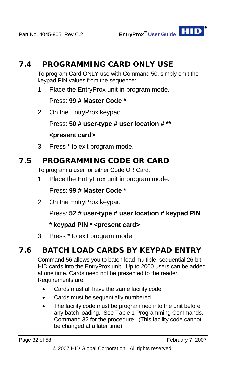

To program Card ONLY use with Command 50, simply omit the keypad PIN values from the sequence:

1. Place the EntryProx unit in program mode.

Press: **99 # Master Code \***

2. On the EntryProx keypad

Press: **50 # user-type # user location # \*\***

#### **<present card>**

3. Press **\*** to exit program mode.

## **7.5 PROGRAMMING CODE OR CARD**

To program a user for either Code OR Card:

1. Place the EntryProx unit in program mode.

#### Press: **99 # Master Code \***

2. On the EntryProx keypad

Press: **52 # user-type # user location # keypad PIN** 

#### **\* keypad PIN \* <present card>**

3. Press **\*** to exit program mode

# **7.6 BATCH LOAD CARDS BY KEYPAD ENTRY**

Command 56 allows you to batch load multiple, sequential 26-bit HID cards into the EntryProx unit. Up to 2000 users can be added at one time. Cards need not be presented to the reader. Requirements are:

- Cards must all have the same facility code.
- Cards must be sequentially numbered
- The facility code must be programmed into the unit before any batch loading. See [Table 1 Programming Commands](#page-48-0), Command 32 for the procedure. (This facility code cannot be changed at a later time).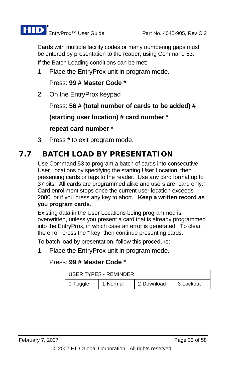

Cards with multiple facility codes or many numbering gaps must be entered by presentation to the reader, using Command 53.

If the Batch Loading conditions can be met:

1. Place the EntryProx unit in program mode.

Press: **99 # Master Code \*** 

2. On the EntryProx keypad

Press: **56 # (total number of cards to be added) #** 

**(starting user location) # card number \*** 

**repeat card number \*** 

3. Press **\*** to exit program mode.

# **7.7 BATCH LOAD BY PRESENTATION**

Use Command 53 to program a batch of cards into consecutive User Locations by specifying the starting User Location, then presenting cards or tags to the reader. Use any card format up to 37 bits. All cards are programmed alike and users are "card only." Card enrollment stops once the current user location exceeds 2000, or if you press any key to abort. **Keep a written record as you program cards**.

Existing data in the User Locations being programmed is overwritten, unless you present a card that is already programmed into the EntryProx, in which case an error is generated. To clear the error, press the \* key; then continue presenting cards.

To batch load by presentation, follow this procedure:

1. Place the EntryProx unit in program mode.

#### Press: **99 # Master Code \***

| USER TYPES - REMINDER |          |            |           |
|-----------------------|----------|------------|-----------|
| 0-Toggle              | 1-Normal | 2-Download | 3-Lockout |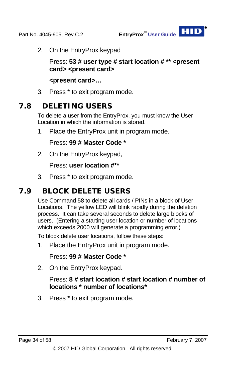

2. On the EntryProx keypad

Press: **53 # user type # start location # \*\* <present card> <present card>** 

**<present card>…** 

3. Press \* to exit program mode.

## **7.8 DELETING USERS**

To delete a user from the EntryProx, you must know the User Location in which the information is stored.

1. Place the EntryProx unit in program mode.

Press: **99 # Master Code \*** 

2. On the EntryProx keypad,

Press: **user location #\*\*** 

3. Press \* to exit program mode.

# **7.9 BLOCK DELETE USERS**

Use Command 58 to delete all cards / PINs in a block of User Locations. The yellow LED will blink rapidly during the deletion process. It can take several seconds to delete large blocks of users. (Entering a starting user location or number of locations which exceeds 2000 will generate a programming error.)

To block delete user locations, follow these steps:

1. Place the EntryProx unit in program mode.

Press: **99 # Master Code \*** 

2. On the EntryProx keypad.

#### Press: **8 # start location # start location # number of locations \* number of locations\***

3. Press **\*** to exit program mode.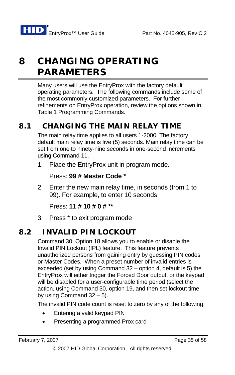# **8 CHANGING OPERATING PARAMETERS**

Many users will use the EntryProx with the factory default operating parameters. The following commands include some of the most commonly customized parameters. For further refinements on EntryProx operation, review the options shown in [Table 1 Programming Commands.](#page-48-0)

# **8.1 CHANGING THE MAIN RELAY TIME**

The main relay time applies to all users 1-2000. The factory default main relay time is five (5) seconds. Main relay time can be set from one to ninety-nine seconds in one-second increments using Command 11.

1. Place the EntryProx unit in program mode.

Press: **99 # Master Code \*** 

2. Enter the new main relay time, in seconds (from 1 to 99). For example, to enter 10 seconds

Press: **11 # 10 # 0 # \*\***

3. Press \* to exit program mode

# **8.2 INVALID PIN LOCKOUT**

Command 30, Option 18 allows you to enable or disable the Invalid PIN Lockout (IPL) feature. This feature prevents unauthorized persons from gaining entry by guessing PIN codes or Master Codes. When a preset number of invalid entries is exceeded (set by using Command 32 – option 4, default is 5) the EntryProx will either trigger the Forced Door output, or the keypad will be disabled for a user-configurable time period (select the action, using Command 30, option 19, and then set lockout time by using Command  $32 - 5$ ).

The invalid PIN code count is reset to zero by any of the following:

- Entering a valid keypad PIN
- Presenting a programmed Prox card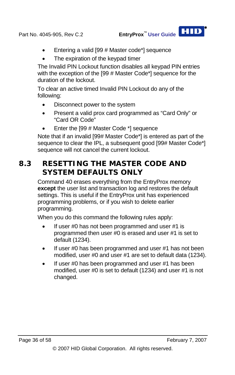

- Entering a valid [99 # Master code\*] sequence
- The expiration of the keypad timer

The Invalid PIN Lockout function disables all keypad PIN entries with the exception of the [99 # Master Code\*] sequence for the duration of the lockout.

To clear an active timed Invalid PIN Lockout do any of the following:

- Disconnect power to the system
- Present a valid prox card programmed as "Card Only" or "Card OR Code"
- Enter the [99 # Master Code \*] sequence

Note that if an invalid [99# Master Code\*] is entered as part of the sequence to clear the IPL, a subsequent good [99# Master Code\*] sequence will not cancel the current lockout.

# **8.3 RESETTING THE MASTER CODE AND SYSTEM DEFAULTS ONLY**

Command 40 erases everything from the EntryProx memory **except** the user list and transaction log and restores the default settings. This is useful if the EntryProx unit has experienced programming problems, or if you wish to delete earlier programming.

When you do this command the following rules apply:

- If user #0 has not been programmed and user #1 is programmed then user #0 is erased and user #1 is set to default (1234).
- If user #0 has been programmed and user #1 has not been modified, user #0 and user #1 are set to default data (1234).
- If user #0 has been programmed and user #1 has been modified, user #0 is set to default (1234) and user #1 is not changed.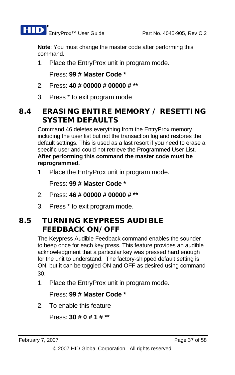

**Note**: You must change the master code after performing this command.

1. Place the EntryProx unit in program mode.

Press: **99 # Master Code \*** 

- 2. Press: **40 # 00000 # 00000 # \*\***
- 3. Press \* to exit program mode

# **8.4 ERASING ENTIRE MEMORY / RESETTING SYSTEM DEFAULTS**

Command 46 deletes everything from the EntryProx memory including the user list but not the transaction log and restores the default settings. This is used as a last resort if you need to erase a specific user and could not retrieve the Programmed User List. **After performing this command the master code must be reprogrammed.**

1 Place the EntryProx unit in program mode.

Press: **99 # Master Code \***

- 2. Press: **46 # 00000 # 00000 # \*\***
- 3. Press \* to exit program mode.

# **8.5 TURNING KEYPRESS AUDIBLE FEEDBACK ON/OFF**

The Keypress Audible Feedback command enables the sounder to beep once for each key press. This feature provides an audible acknowledgment that a particular key was pressed hard enough for the unit to understand. The factory-shipped default setting is ON, but it can be toggled ON and OFF as desired using command 30.

1. Place the EntryProx unit in program mode.

Press: **99 # Master Code \*** 

2. To enable this feature

Press: **30 # 0 # 1 # \*\***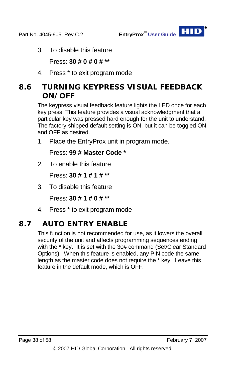3. To disable this feature

Press: **30 # 0 # 0 # \*\***

4. Press \* to exit program mode

# **8.6 TURNING KEYPRESS VISUAL FEEDBACK ON/OFF**

The keypress visual feedback feature lights the LED once for each key press. This feature provides a visual acknowledgment that a particular key was pressed hard enough for the unit to understand. The factory-shipped default setting is ON, but it can be toggled ON and OFF as desired.

1. Place the EntryProx unit in program mode.

Press: **99 # Master Code \***

2. To enable this feature

Press: **30 # 1 # 1 # \*\***

3. To disable this feature

Press: **30 # 1 # 0 # \*\***

4. Press \* to exit program mode

# **8.7 AUTO ENTRY ENABLE**

This function is not recommended for use, as it lowers the overall security of the unit and affects programming sequences ending with the \* key. It is set with the 30# command (Set/Clear Standard Options). When this feature is enabled, any PIN code the same length as the master code does not require the \* key. Leave this feature in the default mode, which is OFF.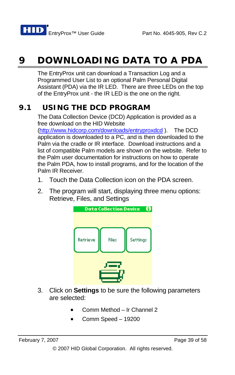# **9 DOWNLOADING DATA TO A PDA**

The EntryProx unit can download a Transaction Log and a Programmed User List to an optional Palm Personal Digital Assistant (PDA) via the IR LED. There are three LEDs on the top of the EntryProx unit - the IR LED is the one on the right.

# **9.1 USING THE DCD PROGRAM**

The Data Collection Device (DCD) Application is provided as a free download on the HID Website

[\(http://www.hidcorp.com/downloads/entryproxdcd](http://www.hidcorp.com/downloads/entryproxdcd) ). The DCD application is downloaded to a PC, and is then downloaded to the Palm via the cradle or IR interface. Download instructions and a list of compatible Palm models are shown on the website. Refer to the Palm user documentation for instructions on how to operate the Palm PDA, how to install programs, and for the location of the Palm IR Receiver.

- 1. Touch the Data Collection icon on the PDA screen.
- 2. The program will start, displaying three menu options: Retrieve, Files, and Settings



- 3. Click on **Settings** to be sure the following parameters are selected:
	- Comm Method Ir Channel 2
	- Comm Speed 19200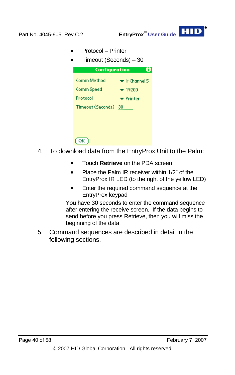

- Protocol Printer
- Timeout (Seconds) 30



- 4. To download data from the EntryProx Unit to the Palm:
	- Touch **Retrieve** on the PDA screen
	- Place the Palm IR receiver within 1/2" of the EntryProx IR LED (to the right of the yellow LED)
	- Enter the required command sequence at the EntryProx keypad

You have 30 seconds to enter the command sequence after entering the receive screen. If the data begins to send before you press Retrieve, then you will miss the beginning of the data.

5. Command sequences are described in detail in the following sections.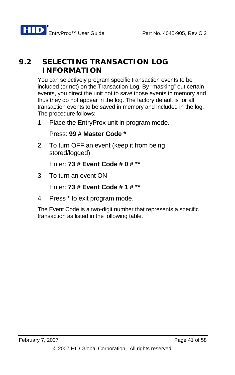# **9.2 SELECTING TRANSACTION LOG INFORMATION**

You can selectively program specific transaction events to be included (or not) on the Transaction Log. By "masking" out certain events, you direct the unit not to save those events in memory and thus they do not appear in the log. The factory default is for all transaction events to be saved in memory and included in the log. The procedure follows:

1. Place the EntryProx unit in program mode.

Press: **99 # Master Code \***

2. To turn OFF an event (keep it from being stored/logged)

Enter: **73 # Event Code # 0 # \*\***

3. To turn an event ON

Enter: **73 # Event Code # 1 # \*\***

4. Press \* to exit program mode.

The Event Code is a two-digit number that represents a specific transaction as listed in the following table.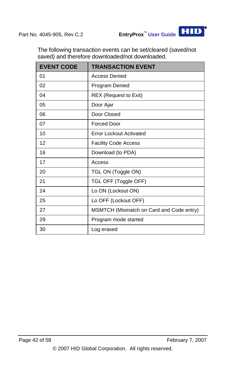The following transaction events can be set/cleared (saved/not saved) and therefore downloaded/not downloaded.

| <b>EVENT CODE</b> | <b>TRANSACTION EVENT</b>                 |
|-------------------|------------------------------------------|
| 01                | <b>Access Denied</b>                     |
| 02                | Program Denied                           |
| 04                | <b>REX (Request to Exit)</b>             |
| 05                | Door Ajar                                |
| 06                | Door Closed                              |
| 07                | <b>Forced Door</b>                       |
| 10                | <b>Error Lockout Activated</b>           |
| 12                | <b>Facility Code Access</b>              |
| 16                | Download (to PDA)                        |
| 17                | Access                                   |
| 20                | TGL ON (Toggle ON)                       |
| 21                | TGL OFF (Toggle OFF)                     |
| 24                | Lo ON (Lockout ON)                       |
| 25                | Lo OFF (Lockout OFF)                     |
| 27                | MSMTCH (Mismatch on Card and Code entry) |
| 29                | Program mode started                     |
| 30                | Log erased                               |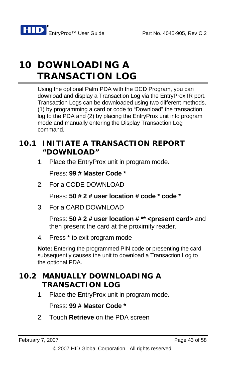# **10 DOWNLOADING A TRANSACTION LOG**

Using the optional Palm PDA with the DCD Program, you can download and display a Transaction Log via the EntryProx IR port. Transaction Logs can be downloaded using two different methods, (1) by programming a card or code to "Download" the transaction log to the PDA and (2) by placing the EntryProx unit into program mode and manually entering the Display Transaction Log command.

## **10.1 INITIATE A TRANSACTION REPORT "DOWNLOAD"**

1. Place the EntryProx unit in program mode.

Press: **99 # Master Code \*** 

2. For a CODE DOWNLOAD

Press: **50 # 2 # user location # code \* code \***

3. For a CARD DOWNLOAD

Press: **50 # 2 # user location # \*\* <present card>** and then present the card at the proximity reader.

4. Press \* to exit program mode

**Note:** Entering the programmed PIN code or presenting the card subsequently causes the unit to download a Transaction Log to the optional PDA.

# **10.2 MANUALLY DOWNLOADING A TRANSACTION LOG**

1. Place the EntryProx unit in program mode.

Press: **99 # Master Code \***

2. Touch **Retrieve** on the PDA screen

<sup>© 2007</sup> HID Global Corporation. All rights reserved.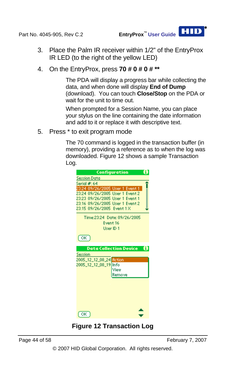- 3. Place the Palm IR receiver within 1/2" of the EntryProx IR LED (to the right of the yellow LED)
- 4. On the EntryProx, press **70 # 0 # 0 # \*\***

The PDA will display a progress bar while collecting the data, and when done will display **End of Dump** (download). You can touch **Close/Stop** on the PDA or wait for the unit to time out.

When prompted for a Session Name, you can place your stylus on the line containing the date information and add to it or replace it with descriptive text.

5. Press \* to exit program mode

The 70 command is logged in the transaction buffer (in memory), providing a reference as to when the log was downloaded. [Figure 12](#page-43-0) shows a sample Transaction Log.



<span id="page-43-0"></span>Page 44 of 58 February 7, 2007

© 2007 HID Global Corporation. All rights reserved.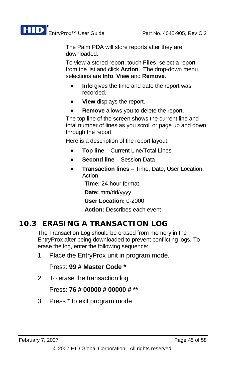The Palm PDA will store reports after they are downloaded.

To view a stored report, touch **Files**, select a report from the list and click **Action**. The drop-down menu selections are **Info**, **View** and **Remove**.

- **Info** gives the time and date the report was recorded.
- **View** displays the report.
- **Remove** allows you to delete the report.

The top line of the screen shows the current line and total number of lines as you scroll or page up and down through the report.

Here is a description of the report layout:

- **Top line** Current Line/Total Lines
- **Second line** Session Data
- **Transaction lines** Time, Date, User Location, Action

**Time:** 24-hour format

**Date:** mm/dd/yyyy

**User Location:** 0-2000

**Action:** Describes each event

## **10.3 ERASING A TRANSACTION LOG**

The Transaction Log should be erased from memory in the EntryProx after being downloaded to prevent conflicting logs. To erase the log, enter the following sequence:

1. Place the EntryProx unit in program mode.

#### Press: **99 # Master Code \***

2. To erase the transaction log

#### Press: **76 # 00000 # 00000 # \*\***

3. Press \* to exit program mode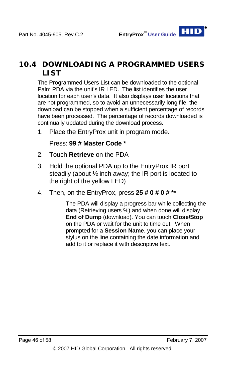## **10.4 DOWNLOADING A PROGRAMMED USERS LIST**

The Programmed Users List can be downloaded to the optional Palm PDA via the unit's IR LED. The list identifies the user location for each user's data. It also displays user locations that are not programmed, so to avoid an unnecessarily long file, the download can be stopped when a sufficient percentage of records have been processed. The percentage of records downloaded is continually updated during the download process.

1. Place the EntryProx unit in program mode.

Press: **99 # Master Code \*** 

- 2. Touch **Retrieve** on the PDA
- 3. Hold the optional PDA up to the EntryProx IR port steadily (about ½ inch away; the IR port is located to the right of the yellow LED)
- 4. Then, on the EntryProx, press **25 # 0 # 0 # \*\***

The PDA will display a progress bar while collecting the data (Retrieving users %) and when done will display **End of Dump** (download). You can touch **Close/Stop** on the PDA or wait for the unit to time out. When prompted for a **Session Name**, you can place your stylus on the line containing the date information and add to it or replace it with descriptive text.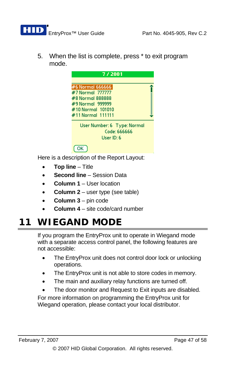

5. When the list is complete, press \* to exit program mode.



Here is a description of the Report Layout:

- **Top line** Title
- **Second line** Session Data
- **Column 1** User location
- **Column 2** user type (see table)
- **Column 3** pin code
- **Column 4** site code/card number

# **11 WIEGAND MODE**

If you program the EntryProx unit to operate in Wiegand mode with a separate access control panel, the following features are not accessible:

- The EntryProx unit does not control door lock or unlocking operations.
- The EntryProx unit is not able to store codes in memory.
- The main and auxiliary relay functions are turned off.
- The door monitor and Request to Exit inputs are disabled.

For more information on programming the EntryProx unit for Wiegand operation, please contact your local distributor.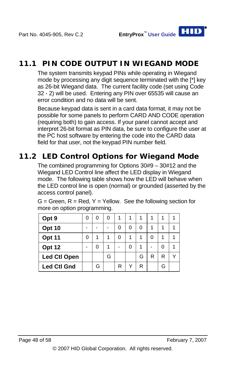# **11.1 PIN CODE OUTPUT IN WIEGAND MODE**

The system transmits keypad PINs while operating in Wiegand mode by processing any digit sequence terminated with the [\*] key as 26-bit Wiegand data. The current facility code (set using Code 32 - 2) will be used. Entering any PIN over 65535 will cause an error condition and no data will be sent.

Because keypad data is sent in a card data format, it may not be possible for some panels to perform CARD AND CODE operation (requiring both) to gain access. If your panel cannot accept and interpret 26-bit format as PIN data, be sure to configure the user at the PC host software by entering the code into the CARD data field for that user, not the keypad PIN number field.

## **11.2 LED Control Options for Wiegand Mode**

The combined programming for Options 30#9 – 30#12 and the Wiegand LED Control line affect the LED display in Wiegand mode. The following table shows how the LED will behave when the LED control line is open (normal) or grounded (asserted by the access control panel).

| Opt 9               | U | 0 | 1 |   |   |   |   |  |
|---------------------|---|---|---|---|---|---|---|--|
| <b>Opt 10</b>       |   |   | 0 | 0 | ŋ |   |   |  |
| Opt 11              | U |   | O |   |   |   |   |  |
| Opt 12              |   |   |   | 0 |   |   | U |  |
| <b>Led Ctl Open</b> |   | G |   |   | G | R | R |  |
| <b>Led Ctl Gnd</b>  |   |   | R | ν | R |   | G |  |

 $G =$  Green,  $R =$  Red,  $Y =$  Yellow. See the following section for more on option programming.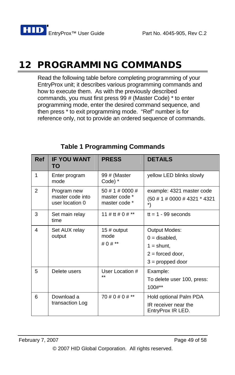# **12 PROGRAMMING COMMANDS**

Read the following table before completing programming of your EntryProx unit; it describes various programming commands and how to execute them. As with the previously described commands, you must first press 99 # (Master Code) \* to enter programming mode, enter the desired command sequence, and then press \* to exit programming mode. "Ref" number is for reference only, not to provide an ordered sequence of commands.

<span id="page-48-0"></span>

| <b>Ref</b> | <b>IF YOU WANT</b><br>TO                           | <b>PRESS</b>                                      | <b>DETAILS</b>                                                                               |
|------------|----------------------------------------------------|---------------------------------------------------|----------------------------------------------------------------------------------------------|
| 1          | Enter program<br>mode                              | 99# (Master<br>Code) *                            | yellow LED blinks slowly                                                                     |
| 2          | Program new<br>master code into<br>user location 0 | 50 # 1 # 0000 #<br>master code *<br>master code * | example: 4321 master code<br>(50 # 1 # 0000 # 4321 * 4321                                    |
| 3          | Set main relay<br>time                             | 11 # tt # 0 # **                                  | $tt = 1 - 99$ seconds                                                                        |
| 4          | Set AUX relay<br>output                            | $15 \#$ output<br>mode<br># 0 # $**$              | Output Modes:<br>$0 =$ disabled,<br>$1 =$ shunt,<br>$2 =$ forced door,<br>$3 =$ propped door |
| 5          | Delete users                                       | User Location #<br>$**$                           | Example:<br>To delete user 100, press:<br>$100#**$                                           |
| 6          | Download a<br>transaction Log                      | 70 # 0 # 0 # **                                   | Hold optional Palm PDA<br>IR receiver near the<br>EntryProx IR LED.                          |

## **Table 1 Programming Commands**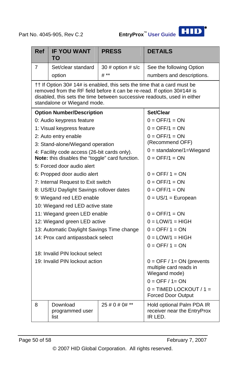

| <b>Ref</b>                                             | <b>IF YOU WANT</b><br>TO                                                                                 | <b>PRESS</b>        | <b>DETAILS</b>                                                                                                                                                                                                                 |  |  |
|--------------------------------------------------------|----------------------------------------------------------------------------------------------------------|---------------------|--------------------------------------------------------------------------------------------------------------------------------------------------------------------------------------------------------------------------------|--|--|
| 7                                                      | Set/clear standard                                                                                       | 30 # option $# s/c$ | See the following Option                                                                                                                                                                                                       |  |  |
|                                                        | option                                                                                                   | $#$ **              | numbers and descriptions.                                                                                                                                                                                                      |  |  |
|                                                        | standalone or Wiegand mode.                                                                              |                     | †† If Option 30# 14# is enabled, this sets the time that a card must be<br>removed from the RF field before it can be re-read. If option 30#14# is<br>disabled, this sets the time between successive readouts, used in either |  |  |
|                                                        | <b>Option Number/Description</b>                                                                         |                     | Set/Clear                                                                                                                                                                                                                      |  |  |
|                                                        | 0: Audio keypress feature                                                                                |                     | $0 = \text{OFF}/1 = \text{ON}$                                                                                                                                                                                                 |  |  |
|                                                        | 1: Visual keypress feature                                                                               |                     | $0 = \text{OFF}/1 = \text{ON}$                                                                                                                                                                                                 |  |  |
|                                                        | 2: Auto entry enable                                                                                     |                     | $0 = \text{OFF}/1 = \text{ON}$<br>(Recommend OFF)                                                                                                                                                                              |  |  |
|                                                        | 3: Stand-alone/Wiegand operation                                                                         |                     | $0 =$ standalone/1=Wiegand                                                                                                                                                                                                     |  |  |
|                                                        | 4: Facility code access (26-bit cards only).<br>Note: this disables the "toggle" card function.          |                     | $0 = \text{OFF}/1 = \text{ON}$                                                                                                                                                                                                 |  |  |
|                                                        | 5: Forced door audio alert                                                                               |                     |                                                                                                                                                                                                                                |  |  |
|                                                        | 6: Propped door audio alert                                                                              |                     | $0 =$ OFF/ $1 =$ ON                                                                                                                                                                                                            |  |  |
|                                                        | 7: Internal Request to Exit switch                                                                       |                     | $0 = \text{OFF}/1 = \text{ON}$                                                                                                                                                                                                 |  |  |
|                                                        | 8: US/EU Daylight Savings rollover dates                                                                 |                     | $0 = \text{OFF}/1 = \text{ON}$                                                                                                                                                                                                 |  |  |
|                                                        | 9: Wiegand red LED enable                                                                                |                     | $0 = US/1 = European$                                                                                                                                                                                                          |  |  |
|                                                        | 10: Wiegand red LED active state                                                                         |                     |                                                                                                                                                                                                                                |  |  |
|                                                        | 11: Wiegand green LED enable                                                                             |                     | $0 = \text{OFF}/1 = \text{ON}$                                                                                                                                                                                                 |  |  |
|                                                        | 12: Wiegand green LED active                                                                             |                     | $0 =$ LOW/1 = HIGH                                                                                                                                                                                                             |  |  |
|                                                        | 13: Automatic Daylight Savings Time change                                                               |                     | $0 = \text{OFF}/1 = \text{ON}$                                                                                                                                                                                                 |  |  |
|                                                        | 14: Prox card antipassback select                                                                        |                     | $0 =$ LOW/1 = HIGH                                                                                                                                                                                                             |  |  |
|                                                        |                                                                                                          |                     | $0 =$ OFF/ $1 =$ ON                                                                                                                                                                                                            |  |  |
|                                                        | 18: Invalid PIN lockout select                                                                           |                     |                                                                                                                                                                                                                                |  |  |
|                                                        | 19: Invalid PIN lockout action<br>$0 =$ OFF / 1= ON (prevents<br>multiple card reads in<br>Wiegand mode) |                     |                                                                                                                                                                                                                                |  |  |
|                                                        |                                                                                                          |                     | $0 =$ OFF $/$ 1 = ON                                                                                                                                                                                                           |  |  |
| $0 = TIMED$ LOCKOUT / 1 =<br><b>Forced Door Output</b> |                                                                                                          |                     |                                                                                                                                                                                                                                |  |  |
| 8                                                      | Download<br>programmed user<br>list                                                                      | 25 # 0 # 0# **      | Hold optional Palm PDA IR<br>receiver near the EntryProx<br>IR LED.                                                                                                                                                            |  |  |

Page 50 of 58 February 7, 2007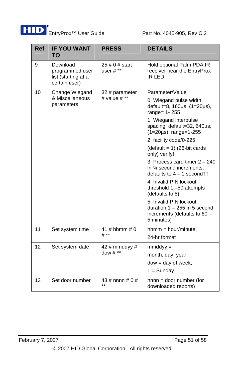

| <b>Ref</b> | <b>IF YOU WANT</b><br>TO                                            | <b>PRESS</b>                       | <b>DETAILS</b>                                                                                              |  |  |
|------------|---------------------------------------------------------------------|------------------------------------|-------------------------------------------------------------------------------------------------------------|--|--|
| 9          | Download<br>programmed user<br>list (starting at a<br>certain user) | $25 \# 0 \#$ start<br>user $\#$ ** | Hold optional Palm PDA IR<br>receiver near the EntryProx<br>IR LED.                                         |  |  |
| 10         | Change Wiegand                                                      | 32 # parameter                     | Parameter/Value                                                                                             |  |  |
|            | & Miscellaneous<br>parameters                                       | # value $#**$                      | 0, Wiegand pulse width,<br>default=8, $160\mu s$ , $(1=20\mu s)$ ,<br>range= 1-255                          |  |  |
|            |                                                                     |                                    | 1, Wiegand interpulse<br>spacing, default=32, 640µs,<br>$(1=20\mu s)$ , range=1-255                         |  |  |
|            |                                                                     |                                    | 2, facility code/0-225                                                                                      |  |  |
|            |                                                                     |                                    | $(detault = 1)$ (26-bit cards<br>only) verify!                                                              |  |  |
|            |                                                                     |                                    | 3, Process card timer $2 - 240$<br>in 1/4 second increments,<br>defaults to $4 - 1$ second $\dagger\dagger$ |  |  |
|            |                                                                     |                                    | 4, Invalid PIN lockout<br>threshold 1-50 attempts<br>(defaults to 5)                                        |  |  |
|            |                                                                     |                                    | 5, Invalid PIN lockout<br>duration $1 - 255$ in 5 second<br>increments (defaults to 60 -<br>5 minutes)      |  |  |
| 11         | Set system time                                                     | 41 # hhmm # 0                      | $h_{m} = hour/min =$                                                                                        |  |  |
|            |                                                                     | # **                               | 24-hr format                                                                                                |  |  |
| 12         | Set system date                                                     | 42 # mmddyy #                      | $mmddyy =$                                                                                                  |  |  |
|            |                                                                     | dow $\#$ **                        | month, day, year;                                                                                           |  |  |
|            |                                                                     |                                    | $dow = day of week,$                                                                                        |  |  |
|            |                                                                     |                                    | $1 =$ Sunday                                                                                                |  |  |
| 13         | Set door number                                                     | 43 # nnnn # $0$ #<br>$\star\star$  | $nnnn = door number (for$<br>downloaded reports)                                                            |  |  |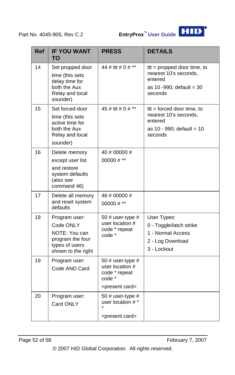

| <b>Ref</b> | <b>IF YOU WANT</b><br>TO                                                                                | <b>PRESS</b>                                                                                        | <b>DETAILS</b>                                                                                               |
|------------|---------------------------------------------------------------------------------------------------------|-----------------------------------------------------------------------------------------------------|--------------------------------------------------------------------------------------------------------------|
| 14         | Set propped door<br>time (this sets<br>delay time for<br>both the Aux<br>Relay and local<br>sounder)    | 44 # ttt # 0 # **                                                                                   | $tt =$ propped door time, to<br>nearest 10's seconds,<br>entered<br>as 10 -990; default = 30<br>seconds      |
| 15         | Set forced door<br>time (this sets<br>active time for<br>both the Aux<br>Relay and local<br>sounder)    | 45 # ttt # 0 # **                                                                                   | $tt = forced door time, to$<br>nearest 10's seconds,<br>entered<br>as $10 - 990$ ; default = $10$<br>seconds |
| 16         | Delete memory<br>except user list<br>and restore<br>system defaults<br>(also see<br>command 46)         | 40 # 00000 #<br>00000 # $**$                                                                        |                                                                                                              |
| 17         | Delete all memory<br>and reset system<br>defaults                                                       | 46#00000#<br>$00000 # **$                                                                           |                                                                                                              |
| 18         | Program user:<br>Code ONLY<br>NOTE: You can<br>program the four<br>types of users<br>shown to the right | 50 # user-type $#$<br>user location #<br>code * repeat<br>code *                                    | User Types:<br>0 - Toggle/latch strike<br>1 - Normal Access<br>2 - Log Download<br>3 - Lockout               |
| 19         | Program user:<br>Code AND Card                                                                          | 50 $\#$ user-type $\#$<br>user location #<br>code * repeat<br>code *<br><present card=""></present> |                                                                                                              |
| 20         | Program user:<br>Card ONLY                                                                              | 50 # user-type $#$<br>user location #*<br><present card=""></present>                               |                                                                                                              |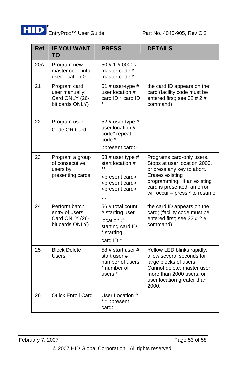

| <b>Ref</b> | <b>IF YOU WANT</b><br>TO                                              | <b>PRESS</b>                                                                                                                        | <b>DETAILS</b>                                                                                                                                                                                             |
|------------|-----------------------------------------------------------------------|-------------------------------------------------------------------------------------------------------------------------------------|------------------------------------------------------------------------------------------------------------------------------------------------------------------------------------------------------------|
| 20A        | Program new<br>master code into<br>user location 0                    | 50 # 1 # 0000 #<br>master code *<br>master code *                                                                                   |                                                                                                                                                                                                            |
| 21         | Program card<br>user manually:<br>Card ONLY (26-<br>bit cards ONLY)   | 51 # user-type $#$<br>user location #<br>card ID * card ID                                                                          | the card ID appears on the<br>card (facility code must be<br>entered first; see 32 # 2 #<br>command)                                                                                                       |
| 22         | Program user:<br>Code OR Card                                         | 52 # user-type #<br>user location #<br>code* repeat<br>code *<br><present card=""></present>                                        |                                                                                                                                                                                                            |
| 23         | Program a group<br>of consecutive<br>users by<br>presenting cards     | 53 # user type #<br>start location #<br><present card=""><br/><present card=""><br/><present card=""></present></present></present> | Programs card-only users.<br>Stops at user location 2000,<br>or press any key to abort.<br>Erases existing<br>programming. If an existing<br>card is presented, an error<br>will occur - press * to resume |
| 24         | Perform batch<br>entry of users:<br>Card ONLY (26-<br>bit cards ONLY) | 56 # total count<br># starting user<br>location #<br>starting card ID<br>* starting<br>card ID <sup>*</sup>                         | the card ID appears on the<br>card; (facility code must be<br>entered first: see 32 # 2 #<br>command)                                                                                                      |
| 25         | <b>Block Delete</b><br><b>Users</b>                                   | 58 # start user #<br>start user #<br>number of users<br>* number of<br>users *                                                      | Yellow LED blinks rapidly;<br>allow several seconds for<br>large blocks of users.<br>Cannot delete: master user,<br>more than 2000 users, or<br>user location greater than<br>2000.                        |
| 26         | Quick Enroll Card                                                     | User Location #<br>* * <present<br>card&gt;</present<br>                                                                            |                                                                                                                                                                                                            |

© 2007 HID Global Corporation. All rights reserved.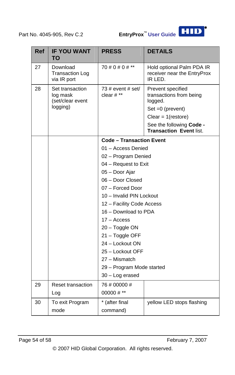

| <b>Ref</b> | <b>IF YOU WANT</b><br>TO                                    | <b>PRESS</b>                                 | <b>DETAILS</b>                                                                                                                                                        |  |  |
|------------|-------------------------------------------------------------|----------------------------------------------|-----------------------------------------------------------------------------------------------------------------------------------------------------------------------|--|--|
| 27         | Download<br><b>Transaction Log</b><br>via IR port           | 70 # 0 # 0 # **                              | Hold optional Palm PDA IR<br>receiver near the EntryProx<br>IR LED.                                                                                                   |  |  |
| 28         | Set transaction<br>log mask<br>(set/clear event<br>logging) | 73 # event # set/<br>clear $#$ **            | Prevent specified<br>transactions from being<br>logged.<br>$Set = 0$ (prevent)<br>Clear = $1$ (restore)<br>See the following Code -<br><b>Transaction Event list.</b> |  |  |
|            |                                                             | <b>Code - Transaction Event</b>              |                                                                                                                                                                       |  |  |
|            |                                                             | 01 - Access Denied                           |                                                                                                                                                                       |  |  |
|            |                                                             | 02 - Program Denied                          |                                                                                                                                                                       |  |  |
|            |                                                             | 04 - Request to Exit                         |                                                                                                                                                                       |  |  |
|            |                                                             | 05 - Door Ajar                               |                                                                                                                                                                       |  |  |
|            |                                                             | 06 - Door Closed                             |                                                                                                                                                                       |  |  |
|            |                                                             | 07 - Forced Door                             |                                                                                                                                                                       |  |  |
|            |                                                             | 10 - Invalid PIN Lockout                     |                                                                                                                                                                       |  |  |
|            |                                                             | 12 - Facility Code Access                    |                                                                                                                                                                       |  |  |
|            |                                                             | 16 - Download to PDA                         |                                                                                                                                                                       |  |  |
|            |                                                             | 17 - Access                                  |                                                                                                                                                                       |  |  |
|            |                                                             | 20 - Toggle ON                               |                                                                                                                                                                       |  |  |
|            |                                                             | 21 - Toggle OFF                              |                                                                                                                                                                       |  |  |
|            |                                                             | 24 - Lockout ON                              |                                                                                                                                                                       |  |  |
|            |                                                             | 25 - Lockout OFF<br>27 - Mismatch            |                                                                                                                                                                       |  |  |
|            |                                                             |                                              |                                                                                                                                                                       |  |  |
|            |                                                             | 29 - Program Mode started<br>30 - Log erased |                                                                                                                                                                       |  |  |
| 29         | <b>Reset transaction</b>                                    | 76 # 00000 #                                 |                                                                                                                                                                       |  |  |
|            | Log                                                         | 00000 # $**$                                 |                                                                                                                                                                       |  |  |
| 30         | To exit Program                                             | * (after final                               | yellow LED stops flashing                                                                                                                                             |  |  |
|            | mode                                                        | command)                                     |                                                                                                                                                                       |  |  |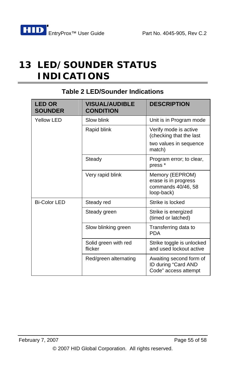# **13 LED/SOUNDER STATUS INDICATIONS**

| <b>LED OR</b><br><b>SOUNDER</b> | <b>VISUAL/AUDIBLE</b><br><b>CONDITION</b> | <b>DESCRIPTION</b>                                                          |
|---------------------------------|-------------------------------------------|-----------------------------------------------------------------------------|
| Yellow LED                      | Slow blink                                | Unit is in Program mode                                                     |
|                                 | Rapid blink                               | Verify mode is active<br>(checking that the last                            |
|                                 |                                           | two values in sequence<br>match)                                            |
|                                 | Steady                                    | Program error; to clear,<br>press <sup>*</sup>                              |
|                                 | Very rapid blink                          | Memory (EEPROM)<br>erase is in progress<br>commands 40/46, 58<br>loop-back) |
| <b>Bi-Color LED</b>             | Steady red                                | Strike is locked                                                            |
|                                 | Steady green                              | Strike is energized<br>(timed or latched)                                   |
|                                 | Slow blinking green                       | Transferring data to<br><b>PDA</b>                                          |
|                                 | Solid green with red<br>flicker           | Strike toggle is unlocked<br>and used lockout active                        |
|                                 | Red/green alternating                     | Awaiting second form of<br>ID during "Card AND<br>Code" access attempt      |

#### **Table 2 LED/Sounder Indications**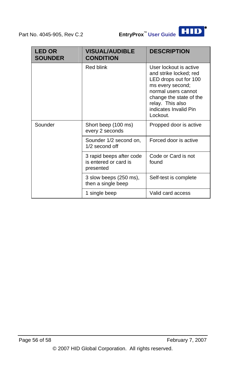

| <b>LED OR</b><br><b>SOUNDER</b> | <b>VISUAL/AUDIBLE</b><br><b>CONDITION</b>                      | <b>DESCRIPTION</b>                                                                                                                                                                                       |
|---------------------------------|----------------------------------------------------------------|----------------------------------------------------------------------------------------------------------------------------------------------------------------------------------------------------------|
|                                 | <b>Red blink</b>                                               | User lockout is active<br>and strike locked; red<br>LED drops out for 100<br>ms every second;<br>normal users cannot<br>change the state of the<br>relay. This also<br>indicates Invalid Pin<br>Lockout. |
| Sounder                         | Short beep (100 ms)<br>every 2 seconds                         | Propped door is active                                                                                                                                                                                   |
|                                 | Sounder 1/2 second on,<br>1/2 second off                       | Forced door is active                                                                                                                                                                                    |
|                                 | 3 rapid beeps after code<br>is entered or card is<br>presented | Code or Card is not<br>found                                                                                                                                                                             |
|                                 | 3 slow beeps (250 ms),<br>then a single beep                   | Self-test is complete                                                                                                                                                                                    |
|                                 | 1 single beep                                                  | Valid card access                                                                                                                                                                                        |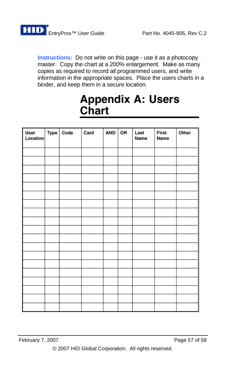

**Instructions:** Do not write on this page - use it as a photocopy master. Copy the chart at a 200% enlargement. Make as many copies as required to record all programmed users, and write information in the appropriate spaces. Place the users charts in a binder, and keep them in a secure location.

# **Appendix A: Users** Chart

| User<br>Location | Type Code | Card | AND | OR | Last<br>Name | First<br>Name | Other |
|------------------|-----------|------|-----|----|--------------|---------------|-------|
|                  |           |      |     |    |              |               |       |
|                  |           |      |     |    |              |               |       |
|                  |           |      |     |    |              |               |       |
|                  |           |      |     |    |              |               |       |
|                  |           |      |     |    |              |               |       |
|                  |           |      |     |    |              |               |       |
|                  |           |      |     |    |              |               |       |
|                  |           |      |     |    |              |               |       |
|                  |           |      |     |    |              |               |       |
|                  |           |      |     |    |              |               |       |
|                  |           |      |     |    |              |               |       |